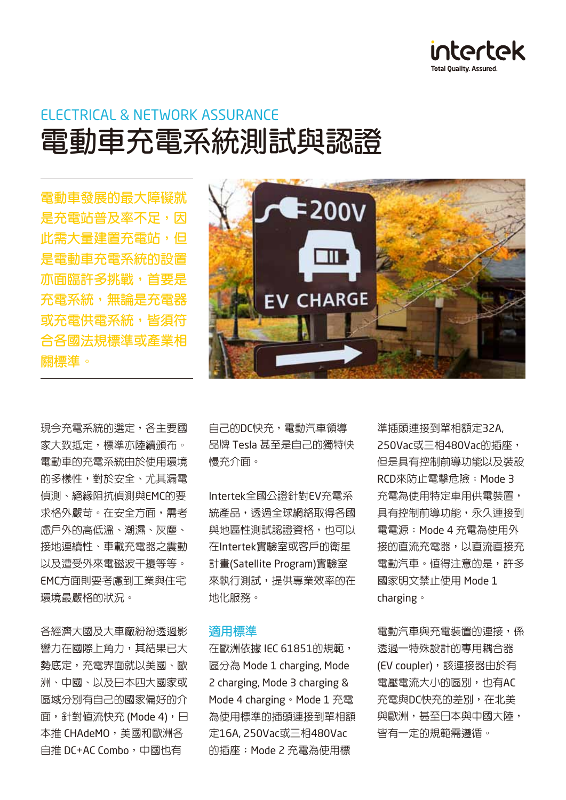

# ELECTRICAL & NETWORK ASSURANCE **電動車充電系統測試與認證**

**電動車發展的最大障礙就 是充雷站普及率不足,因 此需大量建置充電站,但 是電動車充電系統的設置 亦面臨許多挑戰,首要是 充電系統,無論是充電器 或充電供電系統,皆須符 合各國法規標準或產業相 關標準。**

現今充電系統的選定,各主要國 家大致抵定,標進亦陸續頒布。 電動車的充電系統由於使用環境 的多樣性,對於安全、尤其漏電 偵測、絕緣阻抗偵測與EMC的要 求格外嚴苛。在安全方面,需考 慮戶外的高低溫、潮濕、灰塵、 接地連續性、車載充電器之震動 以及遭受外來電磁波干擾等等。 EMC方面則要考慮到工業與住宅 環境最嚴格的狀況。

各經濟大國及大車廠紛紛透過影 響力在國際上角力,其結果已大 勢底定,充電界面就以美國、歐 洲、中國、以及日本四大國家或 區域分別有自己的國家偏好的介 面,針對值流快充 (Mode 4),日 本推 CHAdeMO, 美國和歐洲各 白推 DC+AC Combo, 中國也有



自己的DC快充,電動汽車領導 品牌 Tesla 甚至是自己的獨特快 慢充介面。

Intertek全國公證針對EV充電系 統產品,透過全球網絡取得各國 與地區性測試認證資格,也可以 在Intertek實驗室或客戶的衛星 計畫(Satellite Program)實驗室 來執行測試,提供專業效率的在 地化服務。

#### **適用標準**

在歐洲依據 IEC 61851的規範, 區分為 Mode 1 charging, Mode 2 charging, Mode 3 charging & Mode 4 charging。Mode 1 充電 為使用標準的插頭連接到單相額 定16A, 250Vac或三相480Vac 的插座;Mode 2 充電為使用標

準插頭連接到單相額定32A, 250Vac或三相480Vac的插座, 但是具有控制前導功能以及裝設 RCD來防止電擊危險;Mode 3 充電為使用特定車用供電裝置, 具有控制前導功能,永久連接到 電電源;Mode 4 充電為使用外 接的直流充電器,以直流直接充 電動汽車。值得注意的是,許多 國家明文禁止使用 Mode 1 charging。

電動汽車與充電裝置的連接,係 透過一特殊設計的專用耦合器 (EV coupler),該連接器由於有 電壓電流大小的區別,也有AC 充電與DC快充的差別,在北美 與歐洲,甚至日本與中國大陸, 皆有一定的規範需遵循。